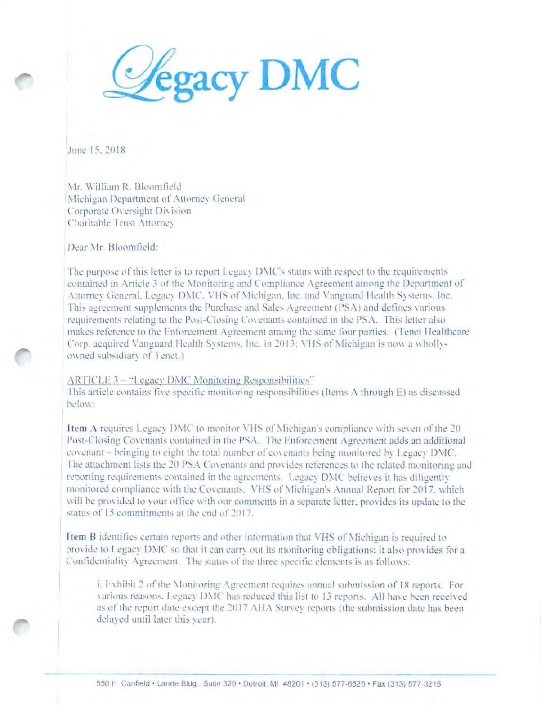

June 15, 2018

Mr. William R. Bloomfield Michigan Department of Attorney General Corporate Oversight Division Charitable Trust Attorney

Dear Mr. Bloomfield:

The purpose of this letter is to report Legacy DMC's status with respect to the requirements contained in Article 3 of the Monitoring and Compliance Agreement among the Department of Attorney General, Legacy DMC, VHS of Michigan, Inc. and Vanguard Health Systems, Inc. This agreement supplements the Purchase and Sales Agreement (PSA) and defines various requirements relating to the Post-Closing Covenants contained in the PSA. This letter also makes reference to the Enforcement Agreement among the same four parties. (Tenet Healthcare Corp. acquired Vanguard Health Systems, Inc. in 2013: VHS of Michigan is now a whollyowned subsidiary of Tenet.)

### ARTICLE 3 - "Legacy DMC Monitoring Responsibilities"

This article contains five specific monitoring responsibilities (Items A through E) as discussed below:

Item A requires Legacy DMC to monitor VHS of Michigan's compliance with seven of the 20 Post-Closing Covenants contained in the PSA. The Enforcement Agreement adds an additional covenant - bringing to eight the total number of covenants being monitored by Legacy DMC. The attachment lists the 20 PSA Covenants and provides references to the related monitoring and reporting requirements contained in the agreements. Legacy DMC believes it has diligently monitored compliance with the Covenants. VHS of Michigan's Annual Report for 2017, which will be provided to your office with our comments in a separate letter, provides its update to the status of 15 commitments at the end of 2017.

Item B identifies certain reports and other information that VHS of Michigan is required to provide to Legacy DMC so that it can carry out its monitoring obligations; it also provides for a Confidentiality Agreement. The status of the three specific elements is as follows:

i. Exhibit 2 of the Monitoring Agreement requires annual submission of 18 reports. For various reasons. Legacy DMC has reduced this list to 13 reports. All have been received as of the report date except the 2017 AHA Survey reports (the submission date has been delayed until later this year).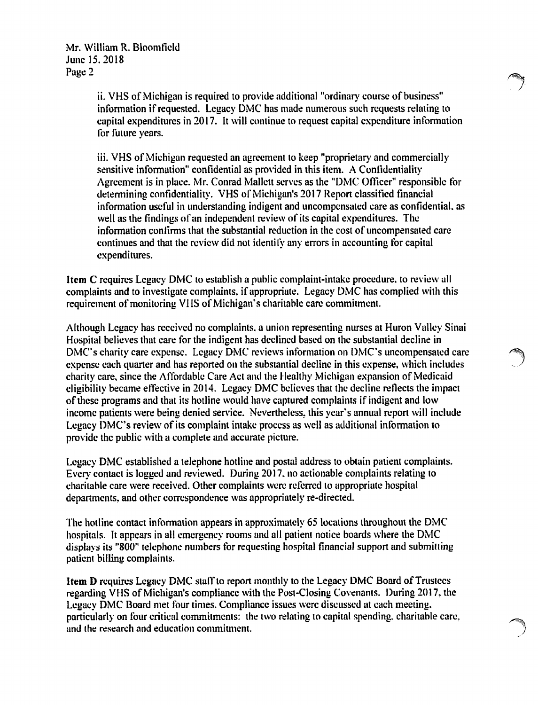ii. VHS of Michigan is required to provide additional "ordinary course of business" information if requested. Legacy DMC has made numerous such requests relating to capital expenditures in 2017. It will continue to request capital expenditure information for future years.

iii. VHS of Michigan requested an agreement to keep "proprietary and commercially sensitive information" confidential as provided in this item. A Confidentiality Agreement is in place. Mr. Conrad Mallett serves as the "DMC Officer" responsible for determining confidentiality. VHS of Michigan's 2017 Report classified financial information useful in understanding indigent and uncompensated care as confidential. as well as the findings of an independent review of its capital expenditures. The information confirms that the substantial reduction in the cost of uncompensated care continues and that the review did not identilY any errors in accounting for capital expenditures.

**Item C** requires Legacy DMC to establish a public complaint-intake procedure, to review all complaints and to investigate complaints, if appropriate. Legacy DMC has complied with this requirement of monitoring VHS of Michigan's charitable care commitment.

Although Legacy has received no complaints. a union representing nurses at Huron Valley Sinai Hospital believes that care for the indigent has declined based on the substantial decline in  $DMC$ 's charity care expense. Legacy DMC reviews information on  $DMC$ 's uncompensated care expense each quarter and has reported on the substantial decline in this expense, which includes charity care, since the Affordable Care Act and the Healthy Michigan expansion of Medicaid eligibility became effective in 2014. Legacy DMC believes that the decline reflects the impact of these programs and that its hotline would have captured complaints if indigent and low income patients were being denied service. Nevertheless, this year's annual report will include Legacy DMC's review of its complaint intake process as well as additional information to provide the public with a complete and accurate picture.

Legacy DMC established a telephone hotline and postal address to obtain patient complaints. Every contact is logged and reviewed. During 2017. no actionable complaints relating *to*  charitable care were received. Other complaints were referred to appropriate hospital departments, and other correspondence was appropriately re-directed.

The hotline contact information appears in approximately 65 locations throughout the DMC hospitals. It appears in all emergency rooms and all patient notice boards where the DMC displays its "800" telephone numbers for requesting hospital financial support and submitting patient billing complaints.

**Item D** requires Legacy DMC staff to report monthly to the Legacy DMC Board of Trustces regarding VHS of Michigan's compliance with the Post-Closing Covenants. During 2017, the Legacy DMC Board met four times. Compliance issues were discussed at each meeting. particularly on four critical commitments: the two relating to capital spending, charitable care, and the research and education commiunent.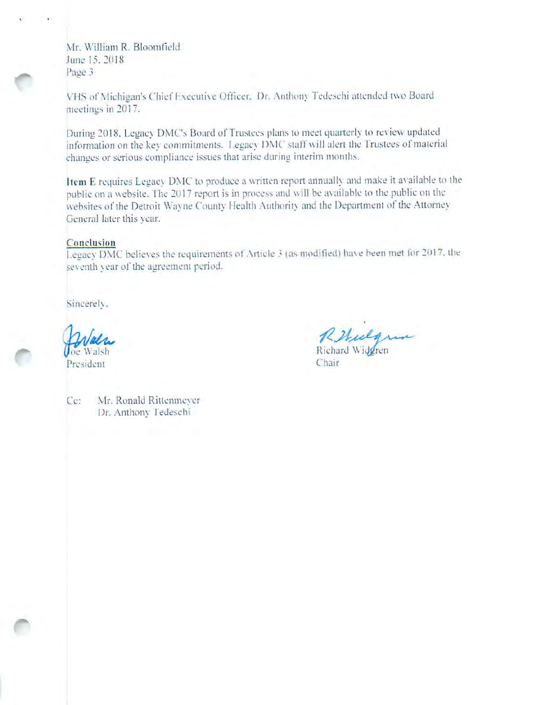Mr. William R. Bloomfield June 15, 2018 Page 3

VHS of Michigan's Chief Executive Officer. Dr. Anthony Tedeschi attended two Board meetings in 2017.

During 2018, Legacy DMC's Board of Trustees plans to meet quarterly to review updated information on the key commitments. Legacy DMC staff will alert the Trustees of material changes or serious compliance issues that arise during interim months.

Item E requires Legacy DMC to produce a written report annually and make it available to the public on a website. The 2017 report is in process and will be available to the public on the websites of the Detroit Wayne County Health Authority and the Department of the Attorney General later this vear.

## Conclusion

Legacy DMC believes the requirements of Article 3 (as modified) have been met for 2017, the seventh year of the agreement period.

Sincerely.

President

Rebular Richard Widdren

Chair

Ce: Mr. Ronald Rittenmeyer Dr. Anthony Tedeschi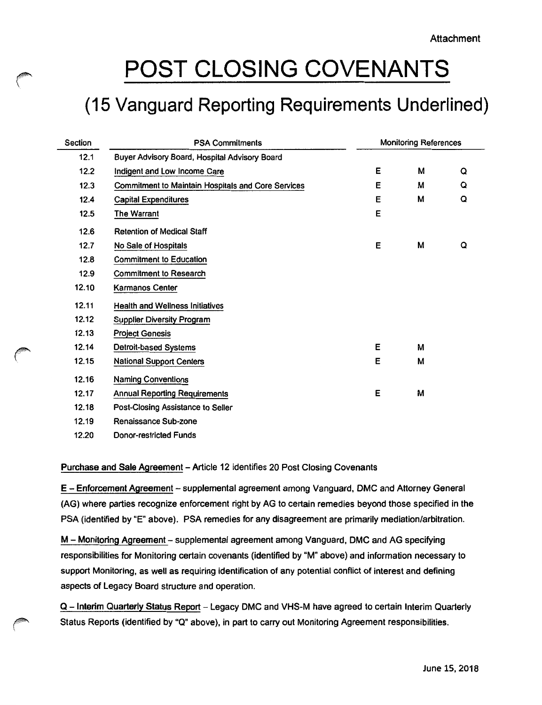# **POST CLOSING COVENANTS**

 $\curvearrowleft$ 

f

# **(15 Vanguard Reporting Requirements Underlined)**

| Section | <b>PSA Commitments</b>                             | <b>Monitoring References</b> |   |   |
|---------|----------------------------------------------------|------------------------------|---|---|
| 12.1    | Buyer Advisory Board, Hospital Advisory Board      |                              |   |   |
| 12.2    | Indigent and Low Income Care                       | Е                            | М | Q |
| 12.3    | Commitment to Maintain Hospitals and Core Services | Ε                            | М | Q |
| 12.4    | <b>Capital Expenditures</b>                        | Е                            | М | Q |
| 12.5    | The Warrant                                        | E                            |   |   |
| 12.6    | <b>Retention of Medical Staff</b>                  |                              |   |   |
| 12.7    | No Sale of Hospitals                               | E                            | M | Q |
| 12.8    | <b>Commitment to Education</b>                     |                              |   |   |
| 12.9    | <b>Commitment to Research</b>                      |                              |   |   |
| 12.10   | Karmanos Center                                    |                              |   |   |
| 12.11   | <b>Health and Wellness Initiatives</b>             |                              |   |   |
| 12.12   | <b>Supplier Diversity Program</b>                  |                              |   |   |
| 12.13   | <b>Project Genesis</b>                             |                              |   |   |
| 12.14   | Detroit-based Systems                              | E                            | М |   |
| 12.15   | <b>National Support Centers</b>                    | Е                            | М |   |
| 12.16   | <b>Naming Conventions</b>                          |                              |   |   |
| 12.17   | <b>Annual Reporting Requirements</b>               | Е                            | м |   |
| 12.18   | Post-Closing Assistance to Seller                  |                              |   |   |
| 12.19   | Renaissance Sub-zone                               |                              |   |   |
| 12.20   | <b>Donor-restricted Funds</b>                      |                              |   |   |

# Purchase and Sale Agreement - Article 12 identifies 20 Post Closing Covenants

E - Enforcement Agreement - supplemental agreement among Vanguard, DMC and Attorney General (AG) where parties recognize enforcement right by AG to certain remedies beyond those specified in the PSA (identified by "E" above). PSA remedies for any disagreement are primarily mediation/arbitration.

M - Monitoring Agreement - supplemental agreement among Vanguard, DMC and AG specifying responsibilities for Monitoring certain covenants (identified by "M" above) and information necessary to support Monitoring, as well as requiring identification of any potential conflict of interest and defining aspects of Legacy Board structure and operation.

Q - Interim Quarterly Status Report - Legacy DMC and VHS-M have agreed to certain Interim Quarterly Status Reports (identified by "Q" above), in part to carry out Monitoring Agreement responsibilities.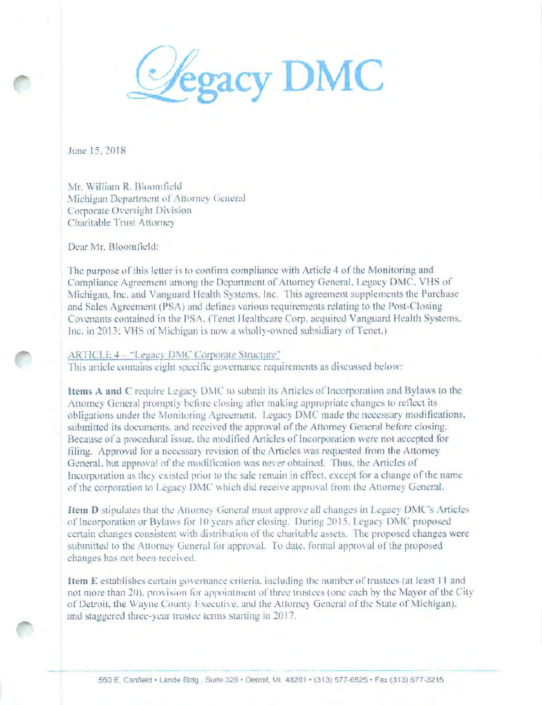**Cegacy DMC** 

June 15, 2018

Mr. William R. Bloomfield Michigan Department of Attorney General Corporate Oversight Division Charitable Trust Attorney

Dear Mr. Bloomfield:

The purpose of this letter is to confirm compliance with Article 4 of the Monitoring and Compliance Agreement among the Department of Attorney General, Legacy DMC, VHS of Michigan, Inc. and Vanguard Health Systems, Inc. This agreement supplements the Purchase and Sales Agreement (PSA) and defines various requirements relating to the Post-Closing Covenants contained in the PSA. (Tenet Healthcare Corp. acquired Vanguard Health Systems, Inc. in 2013; VHS of Michigan is now a wholly-owned subsidiary of Tenet.)

#### ARTICLE 4 - "Legacy DMC Corporate Structure"

This article contains eight specific governance requirements as discussed below:

Items A and C require Legacy DMC to submit its Articles of Incorporation and Bylaws to the Attorney General promptly before closing after making appropriate changes to reflect its obligations under the Monitoring Agreement. Legacy DMC made the necessary modifications, submitted its documents, and received the approval of the Attorney General before closing. Because of a procedural issue, the modified Articles of Incorporation were not accepted for filing. Approval for a necessary revision of the Articles was requested from the Attorney General, but approval of the modification was never obtained. Thus, the Articles of Incorporation as they existed prior to the sale remain in effect, except for a change of the name of the corporation to Legacy DMC which did receive approval from the Attorney General.

Item D stipulates that the Attorney General must approve all changes in Legacy DMC's Articles of Incorporation or Bylaws for 10 years after closing. During 2015, Legacy DMC proposed certain changes consistent with distribution of the charitable assets. The proposed changes were submitted to the Attorney General for approval. To date, formal approval of the proposed changes has not been received.

Item E establishes certain governance criteria, including the number of trustees (at least 11 and not more than 20), provision for appointment of three trustees (one each by the Mayor of the City of Detroit, the Wayne County Executive, and the Attorney General of the State of Michigan). and staggered three-year trustee terms starting in 2017.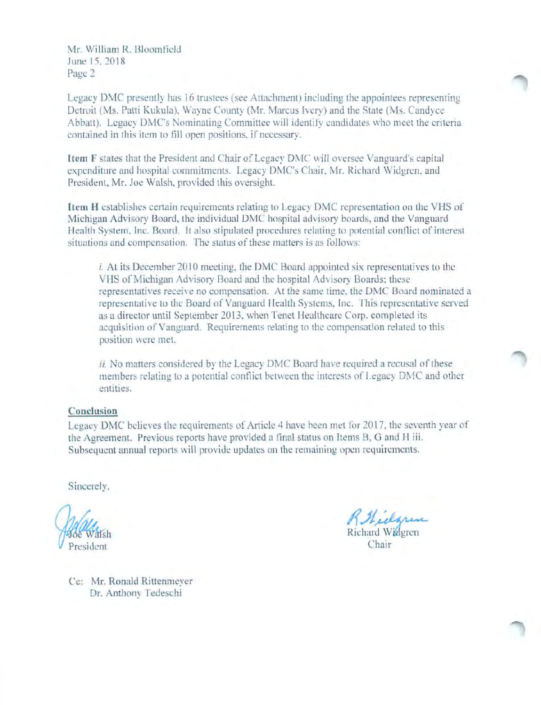Mr. William R. Bloomfield June 15, 2018 Page 2

Legacy DMC presently has 16 trustees (see Attachment) including the appointees representing Detroit (Ms. Patti Kukula), Wayne County (Mr. Marcus Ivery) and the State (Ms. Candvce Abbatt). Legacy DMC's Nominating Committee will identify candidates who meet the criteria contained in this item to fill open positions, if necessary.

Item F states that the President and Chair of Legacy DMC will oversee Vanguard's capital expenditure and hospital commitments. Legacy DMC's Chair, Mr. Richard Widgren, and President, Mr. Joe Walsh, provided this oversight.

Item H establishes certain requirements relating to Legacy DMC representation on the VHS of Michigan Advisory Board, the individual DMC hospital advisory boards, and the Vanguard Health System, Inc. Board. It also stipulated procedures relating to potential conflict of interest situations and compensation. The status of these matters is as follows:

*i.* At its December 2010 meeting, the DMC Board appointed six representatives to the VHS of Michigan Advisory Board and the hospital Advisory Boards; these representatives receive no compensation. At the same time, the DMC Board nominated a representative to the Board of Vanguard Health Systems, Inc. This representative served as a director until September 2013, when Tenet Healthcare Corp. completed its acquisition of Vanguard. Requirements relating to the compensation related to this position were met.

*ii.* No matters considered by the Legacy DMC Board have required a recusal of these members relating to a potential conflict between the interests of Legacy DMC and other entities.

### Conclusion

Legacy DMC believes the requirements of Article 4 have been met for 2017, the seventh year of the Agreement. Previous reports have provided a final status on Items B, G and H iii. Subsequent annual reports will provide updates on the remaining open requirements.

Sincerely,

President

Rilidgram Richard Widgren

Chair

Ce: Mr. Ronald Rittenmeyer Dr. Anthony Tedeschi